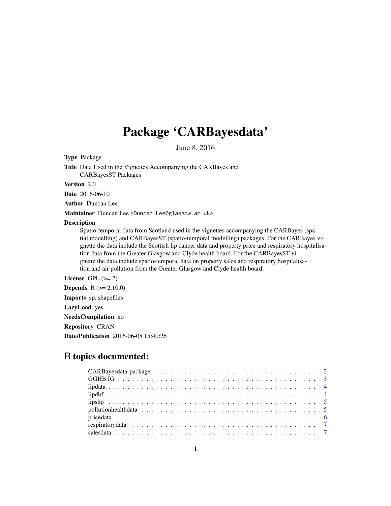## Package 'CARBayesdata'

June 8, 2016

Type Package

Title Data Used in the Vignettes Accompanying the CARBayes and CARBayesST Packages

Version 2.0

Date 2016-06-10

Author Duncan Lee

Maintainer Duncan Lee <Duncan.Lee@glasgow.ac.uk>

#### Description

Spatio-temporal data from Scotland used in the vignettes accompanying the CARBayes (spatial modelling) and CARBayesST (spatio-temporal modelling) packages. For the CARBayes vignette the data include the Scottish lip cancer data and property price and respiratory hospitalisation data from the Greater Glasgow and Clyde health board. For the CARBayesST vignette the data include spatio-temporal data on property sales and respiratory hospitalisation and air pollution from the Greater Glasgow and Clyde health board.

License GPL  $(>= 2)$ 

**Depends**  $R (= 2.10.0)$ Imports sp, shapefiles LazyLoad yes NeedsCompilation no Repository CRAN Date/Publication 2016-06-08 15:40:26

### R topics documented: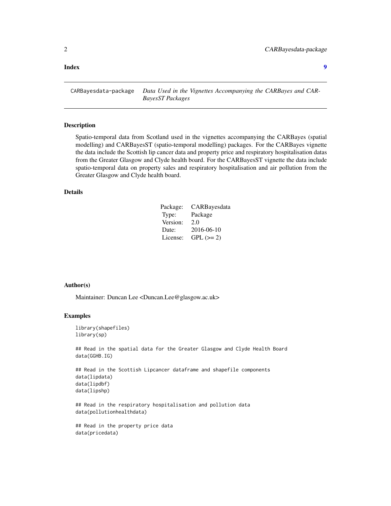#### <span id="page-1-0"></span>**Index** [9](#page-8-0)

CARBayesdata-package *Data Used in the Vignettes Accompanying the CARBayes and CAR-BayesST Packages*

#### Description

Spatio-temporal data from Scotland used in the vignettes accompanying the CARBayes (spatial modelling) and CARBayesST (spatio-temporal modelling) packages. For the CARBayes vignette the data include the Scottish lip cancer data and property price and respiratory hospitalisation datas from the Greater Glasgow and Clyde health board. For the CARBayesST vignette the data include spatio-temporal data on property sales and respiratory hospitalisation and air pollution from the Greater Glasgow and Clyde health board.

#### Details

| Package: | CARBayesdata |
|----------|--------------|
| Type:    | Package      |
| Version: | 2.0          |
| Date:    | 2016-06-10   |
| License: | $GPL (=2)$   |

#### Author(s)

Maintainer: Duncan Lee <Duncan.Lee@glasgow.ac.uk>

#### Examples

```
library(shapefiles)
library(sp)
## Read in the spatial data for the Greater Glasgow and Clyde Health Board
data(GGHB.IG)
## Read in the Scottish Lipcancer dataframe and shapefile components
data(lipdata)
data(lipdbf)
data(lipshp)
```
## Read in the respiratory hospitalisation and pollution data data(pollutionhealthdata)

## Read in the property price data data(pricedata)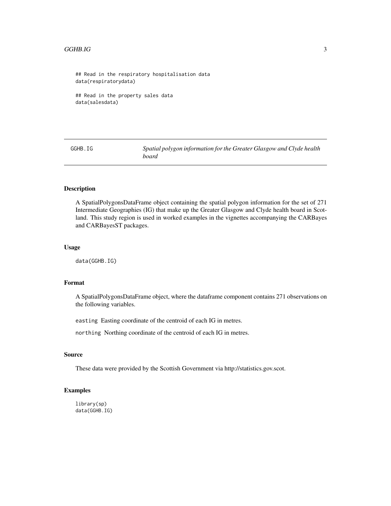#### <span id="page-2-0"></span> $GGHB.IG$  3

## Read in the respiratory hospitalisation data data(respiratorydata)

## Read in the property sales data data(salesdata)

GGHB.IG *Spatial polygon information for the Greater Glasgow and Clyde health board*

#### Description

A SpatialPolygonsDataFrame object containing the spatial polygon information for the set of 271 Intermediate Geographies (IG) that make up the Greater Glasgow and Clyde health board in Scotland. This study region is used in worked examples in the vignettes accompanying the CARBayes and CARBayesST packages.

#### Usage

data(GGHB.IG)

#### Format

A SpatialPolygonsDataFrame object, where the dataframe component contains 271 observations on the following variables.

easting Easting coordinate of the centroid of each IG in metres.

northing Northing coordinate of the centroid of each IG in metres.

#### Source

These data were provided by the Scottish Government via http://statistics.gov.scot.

#### Examples

library(sp) data(GGHB.IG)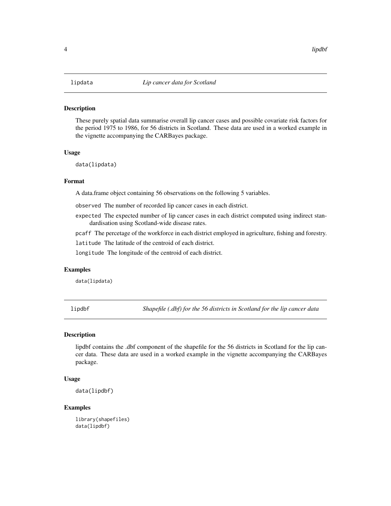#### <span id="page-3-0"></span>**Description**

These purely spatial data summarise overall lip cancer cases and possible covariate risk factors for the period 1975 to 1986, for 56 districts in Scotland. These data are used in a worked example in the vignette accompanying the CARBayes package.

#### Usage

data(lipdata)

#### Format

A data.frame object containing 56 observations on the following 5 variables.

observed The number of recorded lip cancer cases in each district.

expected The expected number of lip cancer cases in each district computed using indirect standardisation using Scotland-wide disease rates.

pcaff The percetage of the workforce in each district employed in agriculture, fishing and forestry.

latitude The latitude of the centroid of each district.

longitude The longitude of the centroid of each district.

#### Examples

data(lipdata)

lipdbf *Shapefile (.dbf) for the 56 districts in Scotland for the lip cancer data*

#### Description

lipdbf contains the .dbf component of the shapefile for the 56 districts in Scotland for the lip cancer data. These data are used in a worked example in the vignette accompanying the CARBayes package.

#### Usage

data(lipdbf)

#### Examples

```
library(shapefiles)
data(lipdbf)
```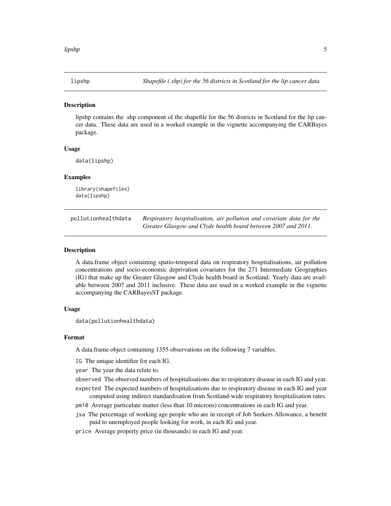<span id="page-4-0"></span>

#### **Description**

lipshp contains the .shp component of the shapefile for the 56 districts in Scotland for the lip cancer data. These data are used in a worked example in the vignette accompanying the CARBayes package.

#### Usage

data(lipshp)

#### Examples

library(shapefiles) data(lipshp)

pollutionhealthdata *Respiratory hospitalisation, air pollution and covariate data for the Greater Glasgow and Clyde health board between 2007 and 2011.*

#### Description

A data.frame object containing spatio-temporal data on respiratory hospitalisations, air pollution concentrations and socio-economic deprivation covariates for the 271 Intermediate Geographies (IG) that make up the Greater Glasgow and Clyde health board in Scotland. Yearly data are available between 2007 and 2011 inclusive. These data are used in a worked example in the vignette accompanying the CARBayesST package.

#### Usage

```
data(pollutionhealthdata)
```
#### Format

A data.frame object containing 1355 observations on the following 7 variables.

IG The unique identifier for each IG.

year The year the data relate to.

- observed The observed numbers of hospitalisations due to respiratory disease in each IG and year.
- expected The expected numbers of hospitalisations due to respiratory disease in each IG and year computed using indirect standardisation from Scotland-wide respiratory hospitalisation rates.
- pm10 Average particulate matter (less than 10 microns) concentrations in each IG and year.
- jsa The percentage of working age people who are in receipt of Job Seekers Allowance, a benefit paid to unemployed people looking for work, in each IG and year.
- price Average property price (in thousands) in each IG and year.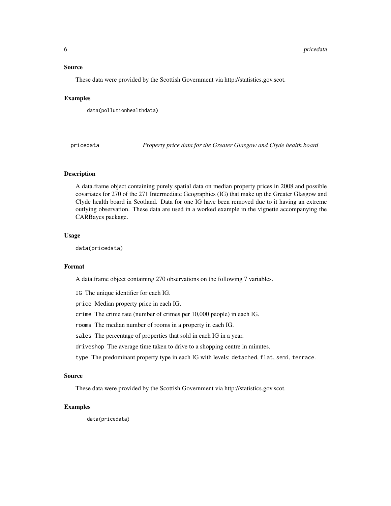#### <span id="page-5-0"></span>Source

These data were provided by the Scottish Government via http://statistics.gov.scot.

#### Examples

```
data(pollutionhealthdata)
```
pricedata *Property price data for the Greater Glasgow and Clyde health board*

#### **Description**

A data.frame object containing purely spatial data on median property prices in 2008 and possible covariates for 270 of the 271 Intermediate Geographies (IG) that make up the Greater Glasgow and Clyde health board in Scotland. Data for one IG have been removed due to it having an extreme outlying observation. These data are used in a worked example in the vignette accompanying the CARBayes package.

#### Usage

data(pricedata)

#### Format

A data.frame object containing 270 observations on the following 7 variables.

IG The unique identifier for each IG.

price Median property price in each IG.

crime The crime rate (number of crimes per 10,000 people) in each IG.

rooms The median number of rooms in a property in each IG.

sales The percentage of properties that sold in each IG in a year.

driveshop The average time taken to drive to a shopping centre in minutes.

type The predominant property type in each IG with levels: detached, flat, semi, terrace.

#### Source

These data were provided by the Scottish Government via http://statistics.gov.scot.

#### Examples

data(pricedata)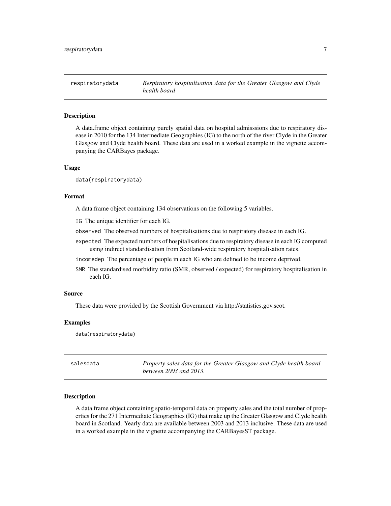<span id="page-6-0"></span>respiratorydata *Respiratory hospitalisation data for the Greater Glasgow and Clyde health board*

#### Description

A data.frame object containing purely spatial data on hospital admisssions due to respiratory disease in 2010 for the 134 Intermediate Geographies (IG) to the north of the river Clyde in the Greater Glasgow and Clyde health board. These data are used in a worked example in the vignette accompanying the CARBayes package.

#### Usage

data(respiratorydata)

#### Format

A data.frame object containing 134 observations on the following 5 variables.

IG The unique identifier for each IG.

observed The observed numbers of hospitalisations due to respiratory disease in each IG.

expected The expected numbers of hospitalisations due to respiratory disease in each IG computed using indirect standardisation from Scotland-wide respiratory hospitalisation rates.

incomedep The percentage of people in each IG who are defined to be income deprived.

SMR The standardised morbidity ratio (SMR, observed / expected) for respiratory hospitalisation in each IG.

#### Source

These data were provided by the Scottish Government via http://statistics.gov.scot.

#### Examples

data(respiratorydata)

| salesdata | Property sales data for the Greater Glasgow and Clyde health board |
|-----------|--------------------------------------------------------------------|
|           | between 2003 and 2013.                                             |

#### Description

A data.frame object containing spatio-temporal data on property sales and the total number of properties for the 271 Intermediate Geographies (IG) that make up the Greater Glasgow and Clyde health board in Scotland. Yearly data are available between 2003 and 2013 inclusive. These data are used in a worked example in the vignette accompanying the CARBayesST package.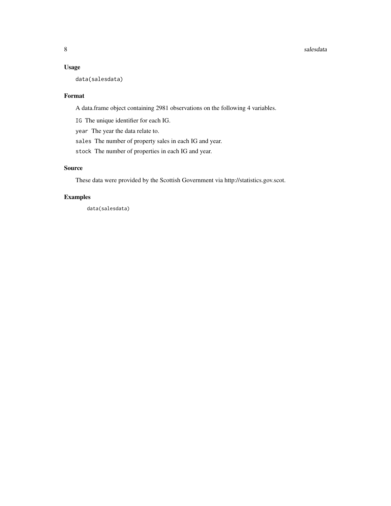#### 8 salesdata and the salesdata control of the salesdata and the salesdata control of the salesdata and the salesdata

#### Usage

data(salesdata)

#### Format

A data.frame object containing 2981 observations on the following 4 variables.

IG The unique identifier for each IG.

year The year the data relate to.

sales The number of property sales in each IG and year.

stock The number of properties in each IG and year.

#### Source

These data were provided by the Scottish Government via http://statistics.gov.scot.

#### Examples

data(salesdata)